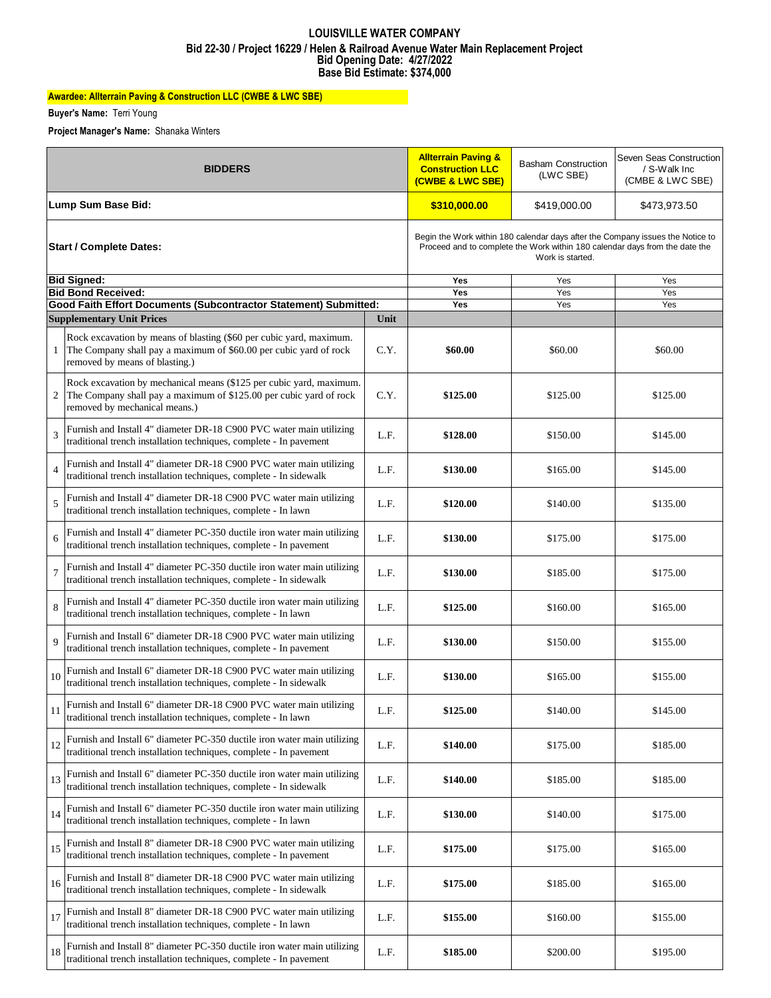#### **Bid Opening Date: 4/27/2022 Base Bid Estimate: \$374,000 LOUISVILLE WATER COMPANY Bid 22-30 / Project 16229 / Helen & Railroad Avenue Water Main Replacement Project**

# **Awardee: Allterrain Paving & Construction LLC (CWBE & LWC SBE)**

**Buyer's Name:** Terri Young

**Project Manager's Name:** Shanaka Winters

| <b>BIDDERS</b>                 |                                                                                                                                                                            |      | <b>Allterrain Paving &amp;</b><br><b>Construction LLC</b><br><u>(CWBE &amp; LWC SBE)</u>                                                                                          | <b>Basham Construction</b><br>(LWC SBE) | Seven Seas Construction<br>/ S-Walk Inc<br>(CMBE & LWC SBE) |  |
|--------------------------------|----------------------------------------------------------------------------------------------------------------------------------------------------------------------------|------|-----------------------------------------------------------------------------------------------------------------------------------------------------------------------------------|-----------------------------------------|-------------------------------------------------------------|--|
| Lump Sum Base Bid:             |                                                                                                                                                                            |      | \$310,000.00                                                                                                                                                                      | \$419,000.00                            | \$473,973.50                                                |  |
| <b>Start / Complete Dates:</b> |                                                                                                                                                                            |      | Begin the Work within 180 calendar days after the Company issues the Notice to<br>Proceed and to complete the Work within 180 calendar days from the date the<br>Work is started. |                                         |                                                             |  |
|                                | <b>Bid Signed:</b>                                                                                                                                                         |      | <b>Yes</b>                                                                                                                                                                        | Yes                                     | Yes                                                         |  |
|                                | <b>Bid Bond Received:</b><br>Good Faith Effort Documents (Subcontractor Statement) Submitted:                                                                              |      | Yes<br>Yes                                                                                                                                                                        | Yes<br>Yes                              | Yes<br>Yes                                                  |  |
|                                | <b>Supplementary Unit Prices</b>                                                                                                                                           | Unit |                                                                                                                                                                                   |                                         |                                                             |  |
| 1                              | Rock excavation by means of blasting (\$60 per cubic yard, maximum.<br>The Company shall pay a maximum of \$60.00 per cubic yard of rock<br>removed by means of blasting.) | C.Y. | \$60.00                                                                                                                                                                           | \$60.00                                 | \$60.00                                                     |  |
| 2                              | Rock excavation by mechanical means (\$125 per cubic yard, maximum.<br>The Company shall pay a maximum of \$125.00 per cubic yard of rock<br>removed by mechanical means.) | C.Y. | \$125.00                                                                                                                                                                          | \$125.00                                | \$125.00                                                    |  |
| 3                              | Furnish and Install 4" diameter DR-18 C900 PVC water main utilizing<br>traditional trench installation techniques, complete - In pavement                                  | L.F. | \$128.00                                                                                                                                                                          | \$150.00                                | \$145.00                                                    |  |
| 4                              | Furnish and Install 4" diameter DR-18 C900 PVC water main utilizing<br>traditional trench installation techniques, complete - In sidewalk                                  | L.F. | \$130.00                                                                                                                                                                          | \$165.00                                | \$145.00                                                    |  |
| 5                              | Furnish and Install 4" diameter DR-18 C900 PVC water main utilizing<br>traditional trench installation techniques, complete - In lawn                                      | L.F. | \$120.00                                                                                                                                                                          | \$140.00                                | \$135.00                                                    |  |
| 6                              | Furnish and Install 4" diameter PC-350 ductile iron water main utilizing<br>traditional trench installation techniques, complete - In pavement                             | L.F. | \$130.00                                                                                                                                                                          | \$175.00                                | \$175.00                                                    |  |
| 7                              | Furnish and Install 4" diameter PC-350 ductile iron water main utilizing<br>traditional trench installation techniques, complete - In sidewalk                             | L.F. | \$130.00                                                                                                                                                                          | \$185.00                                | \$175.00                                                    |  |
| 8                              | Furnish and Install 4" diameter PC-350 ductile iron water main utilizing<br>traditional trench installation techniques, complete - In lawn                                 | L.F. | \$125.00                                                                                                                                                                          | \$160.00                                | \$165.00                                                    |  |
| 9                              | Furnish and Install 6" diameter DR-18 C900 PVC water main utilizing<br>traditional trench installation techniques, complete - In pavement                                  | L.F. | \$130.00                                                                                                                                                                          | \$150.00                                | \$155.00                                                    |  |
| 10                             | Furnish and Install 6" diameter DR-18 C900 PVC water main utilizing<br>traditional trench installation techniques, complete - In sidewalk                                  | L.F. | \$130.00                                                                                                                                                                          | \$165.00                                | \$155.00                                                    |  |
|                                | Furnish and Install 6" diameter DR-18 C900 PVC water main utilizing<br>traditional trench installation techniques, complete - In lawn                                      | L.F. | \$125.00                                                                                                                                                                          | \$140.00                                | \$145.00                                                    |  |
| 12                             | Furnish and Install 6" diameter PC-350 ductile iron water main utilizing<br>traditional trench installation techniques, complete - In pavement                             | L.F. | \$140.00                                                                                                                                                                          | \$175.00                                | \$185.00                                                    |  |
| 13                             | Furnish and Install 6" diameter PC-350 ductile iron water main utilizing<br>traditional trench installation techniques, complete - In sidewalk                             | L.F. | \$140.00                                                                                                                                                                          | \$185.00                                | \$185.00                                                    |  |
| 14                             | Furnish and Install 6" diameter PC-350 ductile iron water main utilizing<br>traditional trench installation techniques, complete - In lawn                                 | L.F. | \$130.00                                                                                                                                                                          | \$140.00                                | \$175.00                                                    |  |
| 15                             | Furnish and Install 8" diameter DR-18 C900 PVC water main utilizing<br>traditional trench installation techniques, complete - In pavement                                  | L.F. | \$175.00                                                                                                                                                                          | \$175.00                                | \$165.00                                                    |  |
| 16                             | Furnish and Install 8" diameter DR-18 C900 PVC water main utilizing<br>traditional trench installation techniques, complete - In sidewalk                                  | L.F. | \$175.00                                                                                                                                                                          | \$185.00                                | \$165.00                                                    |  |
| 17                             | Furnish and Install 8" diameter DR-18 C900 PVC water main utilizing<br>traditional trench installation techniques, complete - In lawn                                      | L.F. | \$155.00                                                                                                                                                                          | \$160.00                                | \$155.00                                                    |  |
| 18                             | Furnish and Install 8" diameter PC-350 ductile iron water main utilizing<br>traditional trench installation techniques, complete - In pavement                             | L.F. | \$185.00                                                                                                                                                                          | \$200.00                                | \$195.00                                                    |  |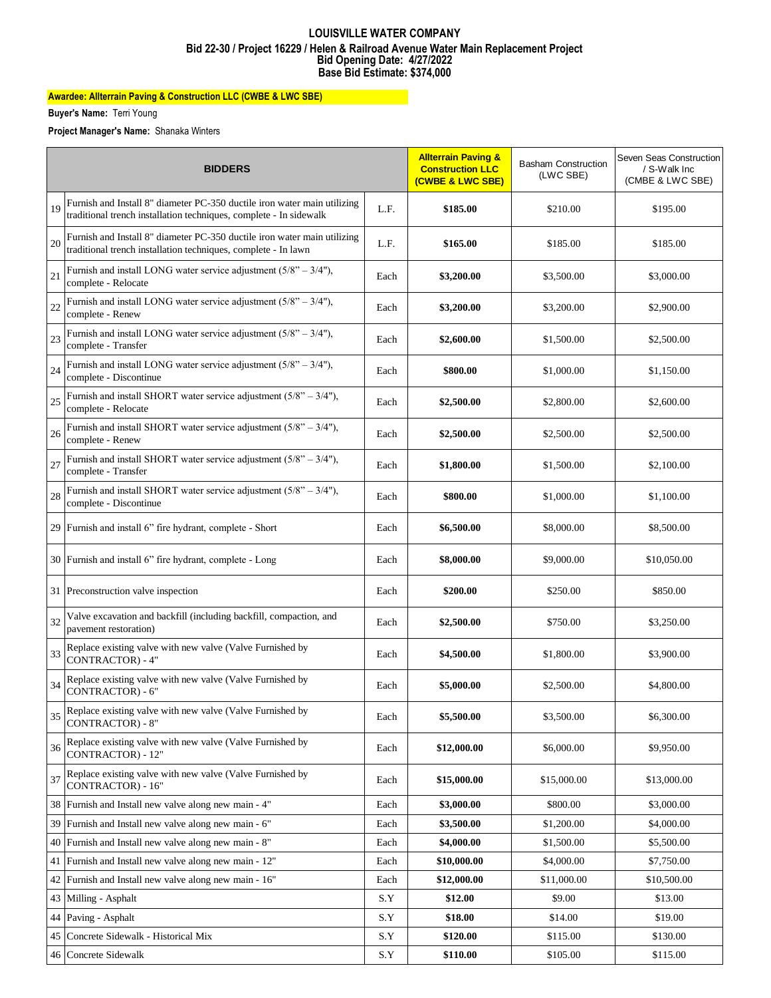#### **Bid Opening Date: 4/27/2022 Base Bid Estimate: \$374,000 LOUISVILLE WATER COMPANY Bid 22-30 / Project 16229 / Helen & Railroad Avenue Water Main Replacement Project**

# **Awardee: Allterrain Paving & Construction LLC (CWBE & LWC SBE)**

**Buyer's Name:** Terri Young

**Project Manager's Name:** Shanaka Winters

| <b>BIDDERS</b> |                                                                                                                                                | <b>Allterrain Paving &amp;</b><br><b>Construction LLC</b><br>(CWBE & LWC SBE) | <b>Basham Construction</b><br>(LWC SBE) | Seven Seas Construction<br>/ S-Walk Inc<br>(CMBE & LWC SBE) |             |
|----------------|------------------------------------------------------------------------------------------------------------------------------------------------|-------------------------------------------------------------------------------|-----------------------------------------|-------------------------------------------------------------|-------------|
| 19             | Furnish and Install 8" diameter PC-350 ductile iron water main utilizing<br>traditional trench installation techniques, complete - In sidewalk | L.F.                                                                          | \$185.00                                | \$210.00                                                    | \$195.00    |
| 20             | Furnish and Install 8" diameter PC-350 ductile iron water main utilizing<br>traditional trench installation techniques, complete - In lawn     | L.F.                                                                          | \$165.00                                | \$185.00                                                    | \$185.00    |
| 21             | Furnish and install LONG water service adjustment $(5/8" - 3/4")$ ,<br>complete - Relocate                                                     | Each                                                                          | \$3,200.00                              | \$3,500.00                                                  | \$3,000.00  |
| 22             | Furnish and install LONG water service adjustment $(5/8" - 3/4")$ ,<br>complete - Renew                                                        | Each                                                                          | \$3,200.00                              | \$3,200.00                                                  | \$2,900.00  |
| 23             | Furnish and install LONG water service adjustment $(5/8" - 3/4")$ ,<br>complete - Transfer                                                     | Each                                                                          | \$2,600.00                              | \$1,500.00                                                  | \$2,500.00  |
| 24             | Furnish and install LONG water service adjustment $(5/8" - 3/4")$ ,<br>complete - Discontinue                                                  | Each                                                                          | \$800.00                                | \$1,000.00                                                  | \$1,150.00  |
| 25             | Furnish and install SHORT water service adjustment $(5/8" - 3/4")$ ,<br>complete - Relocate                                                    | Each                                                                          | \$2,500.00                              | \$2,800.00                                                  | \$2,600.00  |
| 26             | Furnish and install SHORT water service adjustment $(5/8" - 3/4")$ ,<br>complete - Renew                                                       | Each                                                                          | \$2,500.00                              | \$2,500.00                                                  | \$2,500.00  |
| 27             | Furnish and install SHORT water service adjustment $(5/8" - 3/4")$ ,<br>complete - Transfer                                                    | Each                                                                          | \$1,800.00                              | \$1,500.00                                                  | \$2,100.00  |
| 28             | Furnish and install SHORT water service adjustment $(5/8" - 3/4")$ ,<br>complete - Discontinue                                                 | Each                                                                          | \$800.00                                | \$1,000.00                                                  | \$1,100.00  |
|                | 29 Furnish and install 6" fire hydrant, complete - Short                                                                                       | Each                                                                          | \$6,500.00                              | \$8,000.00                                                  | \$8,500.00  |
|                | 30 Furnish and install 6" fire hydrant, complete - Long                                                                                        | Each                                                                          | \$8,000.00                              | \$9,000.00                                                  | \$10,050.00 |
|                | 31 Preconstruction valve inspection                                                                                                            | Each                                                                          | \$200.00                                | \$250.00                                                    | \$850.00    |
| 32             | Valve excavation and backfill (including backfill, compaction, and<br>pavement restoration)                                                    | Each                                                                          | \$2,500.00                              | \$750.00                                                    | \$3,250.00  |
| 33             | Replace existing valve with new valve (Valve Furnished by<br><b>CONTRACTOR</b> ) - 4"                                                          | Each                                                                          | \$4,500.00                              | \$1,800.00                                                  | \$3,900.00  |
| 34             | Replace existing valve with new valve (Valve Furnished by<br>CONTRACTOR) - 6"                                                                  | Each                                                                          | \$5,000.00                              | \$2,500.00                                                  | \$4,800.00  |
| 35             | Replace existing valve with new valve (Valve Furnished by<br><b>CONTRACTOR) - 8"</b>                                                           | Each                                                                          | \$5,500.00                              | \$3,500.00                                                  | \$6,300.00  |
| 36             | Replace existing valve with new valve (Valve Furnished by<br>CONTRACTOR) - 12"                                                                 | Each                                                                          | \$12,000.00                             | \$6,000.00                                                  | \$9,950.00  |
| 37             | Replace existing valve with new valve (Valve Furnished by<br>CONTRACTOR) - 16"                                                                 | Each                                                                          | \$15,000.00                             | \$15,000.00                                                 | \$13,000.00 |
|                | 38 Furnish and Install new valve along new main - 4"                                                                                           | Each                                                                          | \$3,000.00                              | \$800.00                                                    | \$3,000.00  |
|                | 39 Furnish and Install new valve along new main - 6"                                                                                           | Each                                                                          | \$3,500.00                              | \$1,200.00                                                  | \$4,000.00  |
|                | 40 Furnish and Install new valve along new main - 8"                                                                                           | Each                                                                          | \$4,000.00                              | \$1,500.00                                                  | \$5,500.00  |
|                | 41 Furnish and Install new valve along new main - 12"                                                                                          | Each                                                                          | \$10,000.00                             | \$4,000.00                                                  | \$7,750.00  |
|                | 42 Furnish and Install new valve along new main - 16"                                                                                          | Each                                                                          | \$12,000.00                             | \$11,000.00                                                 | \$10,500.00 |
|                | 43 Milling - Asphalt                                                                                                                           | S.Y                                                                           | \$12.00                                 | \$9.00                                                      | \$13.00     |
|                | 44 Paving - Asphalt                                                                                                                            | S.Y                                                                           | \$18.00                                 | \$14.00                                                     | \$19.00     |
|                | 45 Concrete Sidewalk - Historical Mix                                                                                                          | S.Y                                                                           | \$120.00                                | \$115.00                                                    | \$130.00    |
|                | 46 Concrete Sidewalk                                                                                                                           | S.Y                                                                           | \$110.00                                | \$105.00                                                    | \$115.00    |